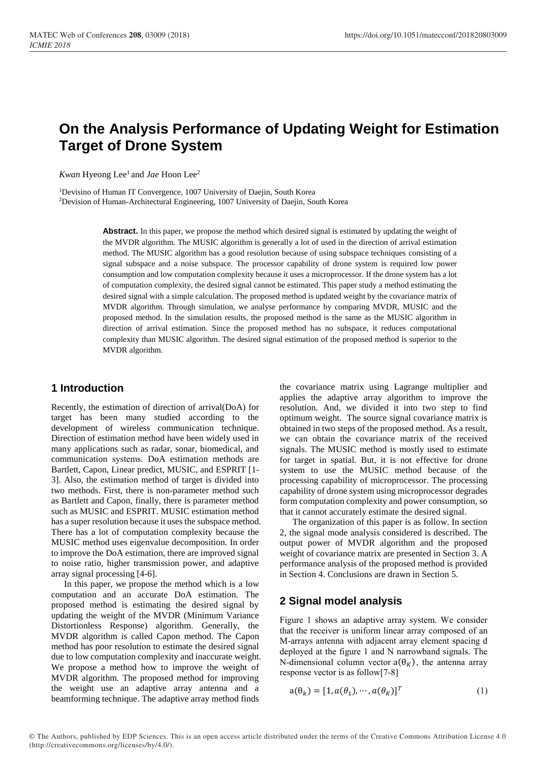# **On the Analysis Performance of Updating Weight for Estimation Target of Drone System**

Kwan Hyeong Lee<sup>1</sup> and *Jae* Hoon Lee<sup>2</sup>

<sup>1</sup>Devisino of Human IT Convergence, 1007 University of Daejin, South Korea <sup>2</sup>Devision of Human-Architectural Engineering, 1007 University of Daejin, South Korea

> Abstract. In this paper, we propose the method which desired signal is estimated by updating the weight of the MVDR algorithm. The MUSIC algorithm is generally a lot of used in the direction of arrival estimation method. The MUSIC algorithm has a good resolution because of using subspace techniques consisting of a signal subspace and a noise subspace. The processor capability of drone system is required low power consumption and low computation complexity because it uses a microprocessor. If the drone system has a lot of computation complexity, the desired signal cannot be estimated. This paper study a method estimating the desired signal with a simple calculation. The proposed method is updated weight by the covariance matrix of MVDR algorithm. Through simulation, we analyse performance by comparing MVDR, MUSIC and the proposed method. In the simulation results, the proposed method is the same as the MUSIC algorithm in direction of arrival estimation. Since the proposed method has no subspace, it reduces computational complexity than MUSIC algorithm. The desired signal estimation of the proposed method is superior to the MVDR algorithm.

# **1 Introduction**

Recently, the estimation of direction of arrival(DoA) for target has been many studied according to the development of wireless communication technique. Direction of estimation method have been widely used in many applications such as radar, sonar, biomedical, and communication systems. DoA estimation methods are Bartlett, Capon, Linear predict, MUSIC, and ESPRIT [1- 3]. Also, the estimation method of target is divided into two methods. First, there is non-parameter method such as Bartlett and Capon, finally, there is parameter method such as MUSIC and ESPRIT. MUSIC estimation method has a super resolution because it uses the subspace method. There has a lot of computation complexity because the MUSIC method uses eigenvalue decomposition. In order to improve the DoA estimation, there are improved signal to noise ratio, higher transmission power, and adaptive array signal processing [4-6].

In this paper, we propose the method which is a low computation and an accurate DoA estimation. The proposed method is estimating the desired signal by updating the weight of the MVDR (Minimum Variance Distortionless Response) algorithm. Generally, the MVDR algorithm is called Capon method. The Capon method has poor resolution to estimate the desired signal due to low computation complexity and inaccurate weight. We propose a method how to improve the weight of MVDR algorithm. The proposed method for improving the weight use an adaptive array antenna and a beamforming technique. The adaptive array method finds

the covariance matrix using Lagrange multiplier and applies the adaptive array algorithm to improve the resolution. And, we divided it into two step to find optimum weight. The source signal covariance matrix is obtained in two steps of the proposed method. As a result, we can obtain the covariance matrix of the received signals. The MUSIC method is mostly used to estimate for target in spatial. But, it is not effective for drone system to use the MUSIC method because of the processing capability of microprocessor. The processing capability of drone system using microprocessor degrades form computation complexity and power consumption, so that it cannot accurately estimate the desired signal.

The organization of this paper is as follow. In section 2, the signal mode analysis considered is described. The output power of MVDR algorithm and the proposed weight of covariance matrix are presented in Section 3. A performance analysis of the proposed method is provided in Section 4. Conclusions are drawn in Section 5.

# **2 Signal model analysis**

Figure 1 shows an adaptive array system. We consider that the receiver is uniform linear array composed of an M-arrays antenna with adjacent array element spacing d deployed at the figure 1 and N narrowband signals. The N-dimensional column vector  $a(\theta_K)$ , the antenna array response vector is as follow[7-8]

$$
a(\theta_k) = [1, a(\theta_1), \cdots, a(\theta_K)]^T
$$
 (1)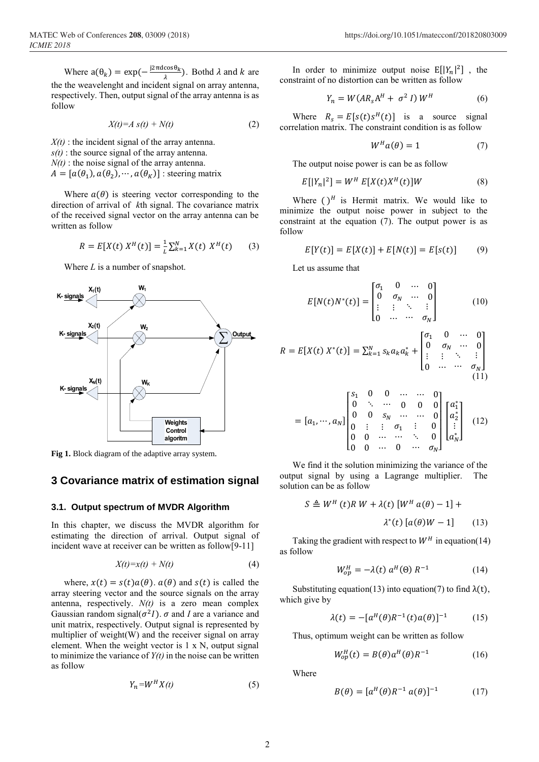Where  $a(\theta_k) = \exp(-\frac{j2\pi d \cos \theta_k}{\lambda})$  $\frac{\cos \theta_k}{\lambda}$ ). Bothd  $\lambda$  and  $k$  are the the weavelenght and incident signal on array antenna, respectively. Then, output signal of the array antenna is as follow

$$
X(t)=A\ s(t)+N(t)\tag{2}
$$

 $X(t)$ : the incident signal of the array antenna. *s(t)* : the source signal of the array antenna.  $N(t)$ : the noise signal of the array antenna.  $A = [a(\theta_1), a(\theta_2), \cdots, a(\theta_K)]$  : steering matrix

Where  $a(\theta)$  is steering vector corresponding to the direction of arrival of *k*th signal. The covariance matrix of the received signal vector on the array antenna can be written as follow

$$
R = E[X(t) XH(t)] = \frac{1}{L} \sum_{k=1}^{N} X(t) XH(t)
$$
 (3)

Where *L* is a number of snapshot.



**Fig 1.** Block diagram of the adaptive array system.

## **3 Covariance matrix of estimation signal**

#### **3.1. Output spectrum of MVDR Algorithm**

In this chapter, we discuss the MVDR algorithm for estimating the direction of arrival. Output signal of incident wave at receiver can be written as follow[9-11]

$$
X(t)=x(t)+N(t) \tag{4}
$$

where,  $x(t) = s(t)a(\theta)$ .  $a(\theta)$  and  $s(t)$  is called the array steering vector and the source signals on the array antenna, respectively. *N(t)* is a zero mean complex Gaussian random signal( $\sigma^2 I$ ).  $\sigma$  and *I* are a variance and unit matrix, respectively. Output signal is represented by multiplier of weight(W) and the receiver signal on array element. When the weight vector is  $1 \times N$ , output signal to minimize the variance of  $Y(t)$  in the noise can be written as follow

$$
Y_n = W^H X(t) \tag{5}
$$

In order to minimize output noise  $E[|Y_n|^2]$ , the constraint of no distortion can be written as follow

$$
Y_n = W(A R_s A^H + \sigma^2 I) W^H
$$
 (6)

Where  $R_s = E[s(t)s^H(t)]$  is a source signal correlation matrix. The constraint condition is as follow

$$
W^H a(\theta) = 1 \tag{7}
$$

The output noise power is can be as follow

$$
E[|Y_n|^2] = W^H E[X(t)X^H(t)]W
$$
\n(8)

Where  $()$ <sup>H</sup> is Hermit matrix. We would like to minimize the output noise power in subject to the constraint at the equation (7). The output power is as follow

$$
E[Y(t)] = E[X(t)] + E[N(t)] = E[s(t)] \tag{9}
$$

Let us assume that

$$
E[N(t)N^{*}(t)] = \begin{bmatrix} \sigma_{1} & 0 & \cdots & 0 \\ 0 & \sigma_{N} & \cdots & 0 \\ \vdots & \vdots & \ddots & \vdots \\ 0 & \cdots & \cdots & \sigma_{N} \end{bmatrix}
$$
(10)

| Output                                                                                                                                                                                                               |                                                                                                                                                                                                                                                                              |
|----------------------------------------------------------------------------------------------------------------------------------------------------------------------------------------------------------------------|------------------------------------------------------------------------------------------------------------------------------------------------------------------------------------------------------------------------------------------------------------------------------|
| $R = E[X(t) X^*(t)] = \sum_{k=1}^{N} s_k a_k a_k^* + \begin{bmatrix} \sigma_1 & 0 & \cdots & 0 \\ 0 & \sigma_N & \cdots & 0 \\ \vdots & \vdots & \ddots & \vdots \\ 0 & \cdots & \cdots & \sigma_N \end{bmatrix}$ \n |                                                                                                                                                                                                                                                                              |
| Weights                                                                                                                                                                                                              | \n $= [a_1, \cdots, a_N] \begin{bmatrix} s_1 & 0 & 0 & \cdots & \cdots & 0 \\ 0 & \ddots & \cdots & 0 & 0 & 0 \\ 0 & 0 & s_N & \cdots & \cdots & 0 \\ 0 & 0 & \cdots & \cdots & \ddots & 0 \end{bmatrix} \begin{bmatrix} a_1^* \\ a_2^* \\ \vdots \\ a_N^* \end{bmatrix}$ \n |

$$
= [a_1, \cdots, a_N] \begin{bmatrix} s_1 & 0 & 0 & \cdots & \cdots & 0 \\ 0 & \ddots & \cdots & 0 & 0 & 0 \\ 0 & 0 & s_N & \cdots & \cdots & 0 \\ 0 & \vdots & \vdots & \sigma_1 & \vdots & 0 \\ 0 & 0 & \cdots & \cdots & \ddots & 0 \\ 0 & 0 & \cdots & 0 & \cdots & \sigma_N \end{bmatrix} \begin{bmatrix} a_1^* \\ a_2^* \\ \vdots \\ a_N^* \end{bmatrix}
$$
 (12)

We find it the solution minimizing the variance of the output signal by using a Lagrange multiplier. The solution can be as follow

$$
S \triangleq W^H(t)R W + \lambda(t) [W^H a(\theta) - 1] +
$$

$$
\lambda^*(t) [a(\theta)W - 1]
$$
(13)

Taking the gradient with respect to  $W<sup>H</sup>$  in equation(14) as follow

$$
W_{op}^H = -\lambda(t) a^H(\Theta) R^{-1}
$$
 (14)

Substituting equation(13) into equation(7) to find  $\lambda(t)$ , which give by

$$
\lambda(t) = -[a^H(\theta)R^{-1}(t)a(\theta)]^{-1}
$$
 (15)

Thus, optimum weight can be written as follow

$$
W_{op}^H(t) = B(\theta) a^H(\theta) R^{-1}
$$
 (16)

Where

$$
B(\theta) = [a^H(\theta)R^{-1}a(\theta)]^{-1} \tag{17}
$$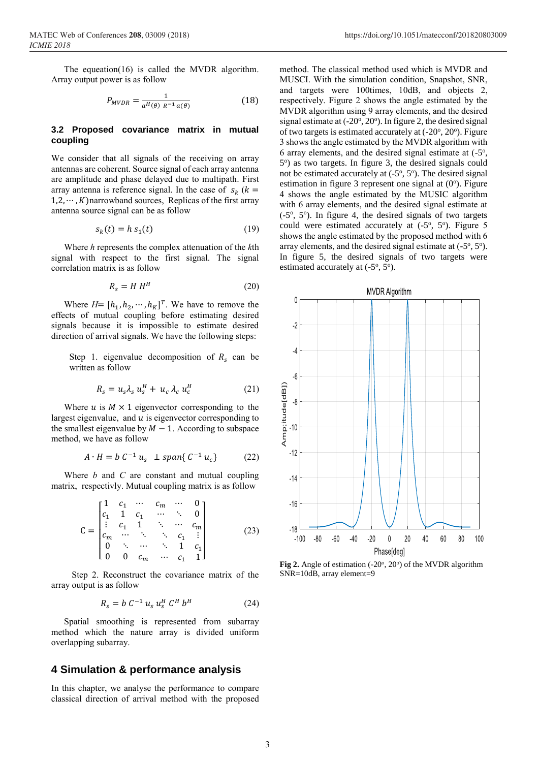The equeation(16) is called the MVDR algorithm. Array output power is as follow

$$
P_{MVDR} = \frac{1}{a^H(\theta) R^{-1} a(\theta)} \tag{18}
$$

#### **3.2 Proposed covariance matrix in mutual coupling**

We consider that all signals of the receiving on array antennas are coherent. Source signal of each array antenna are amplitude and phase delayed due to multipath. First array antenna is reference signal. In the case of  $s_k$  ( $k =$  $1,2,\dots, K$ )narrowband sources, Replicas of the first array antenna source signal can be as follow

$$
s_k(t) = h s_1(t) \tag{19}
$$

Where *h* represents the complex attenuation of the *k*th signal with respect to the first signal. The signal correlation matrix is as follow

$$
R_s = H H^H \tag{20}
$$

Where  $H = [h_1, h_2, \cdots, h_K]^T$ . We have to remove the effects of mutual coupling before estimating desired signals because it is impossible to estimate desired direction of arrival signals. We have the following steps:

Step 1. eigenvalue decomposition of  $R_s$  can be written as follow

$$
R_s = u_s \lambda_s u_s^H + u_c \lambda_c u_c^H \tag{21}
$$

Where  $u$  is  $M \times 1$  eigenvector corresponding to the largest eigenvalue, and  $u$  is eigenvector corresponding to the smallest eigenvalue by  $M - 1$ . According to subspace method, we have as follow

$$
A \cdot H = b \ C^{-1} \, u_s \, \perp \text{span} \{ \, C^{-1} \, u_c \} \tag{22}
$$

Where *b* and *C* are constant and mutual coupling matrix, respectivly. Mutual coupling matrix is as follow

$$
C = \begin{bmatrix} 1 & c_1 & \cdots & c_m & \cdots & 0 \\ c_1 & 1 & c_1 & \cdots & \ddots & 0 \\ \vdots & c_1 & 1 & \ddots & \cdots & c_m \\ c_m & \cdots & \ddots & \ddots & c_1 & \vdots \\ 0 & \ddots & \cdots & \ddots & 1 & c_1 \\ 0 & 0 & c_m & \cdots & c_1 & 1 \end{bmatrix}
$$
 (23)

Step 2. Reconstruct the covariance matrix of the array output is as follow

$$
R_s = b C^{-1} u_s u_s^H C^H b^H
$$
 (24)

Spatial smoothing is represented from subarray method which the nature array is divided uniform overlapping subarray.

## **4 Simulation & performance analysis**

In this chapter, we analyse the performance to compare classical direction of arrival method with the proposed method. The classical method used which is MVDR and MUSCI. With the simulation condition, Snapshot, SNR, and targets were 100times, 10dB, and objects 2, respectively. Figure 2 shows the angle estimated by the MVDR algorithm using 9 array elements, and the desired signal estimate at (-20°, 20°). In figure 2, the desired signal of two targets is estimated accurately at (-20°, 20°). Figure 3 shows the angle estimated by the MVDR algorithm with 6 array elements, and the desired signal estimate at  $(-5^{\circ})$ , 5 o ) as two targets. In figure 3, the desired signals could not be estimated accurately at  $(-5^\circ, 5^\circ)$ . The desired signal estimation in figure 3 represent one signal at  $(0^{\circ})$ . Figure 4 shows the angle estimated by the MUSIC algorithm with 6 array elements, and the desired signal estimate at  $(-5^{\circ}, 5^{\circ})$ . In figure 4, the desired signals of two targets could were estimated accurately at  $(-5^{\circ}, 5^{\circ})$ . Figure 5 shows the angle estimated by the proposed method with 6 array elements, and the desired signal estimate at  $(-5^{\circ}, 5^{\circ})$ . In figure 5, the desired signals of two targets were estimated accurately at  $(-5^\circ, 5^\circ)$ .



Fig 2. Angle of estimation (-20°, 20°) of the MVDR algorithm SNR=10dB, array element=9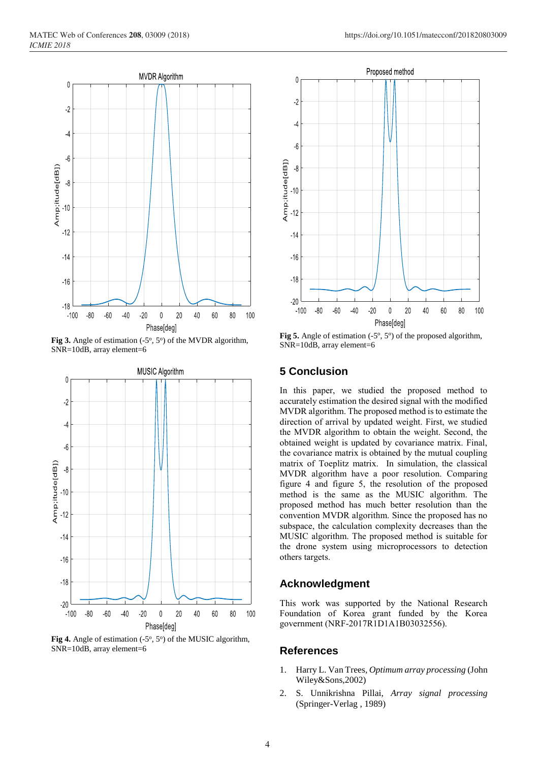

Fig 3. Angle of estimation  $(-5^\circ, 5^\circ)$  of the MVDR algorithm, SNR=10dB, array element=6



Fig 4. Angle of estimation  $(-5^\circ, 5^\circ)$  of the MUSIC algorithm, SNR=10dB, array element=6



Fig 5. Angle of estimation  $(-5^\circ, 5^\circ)$  of the proposed algorithm, SNR=10dB, array element=6

## **5 Conclusion**

In this paper, we studied the proposed method to accurately estimation the desired signal with the modified MVDR algorithm. The proposed method is to estimate the direction of arrival by updated weight. First, we studied the MVDR algorithm to obtain the weight. Second, the obtained weight is updated by covariance matrix. Final, the covariance matrix is obtained by the mutual coupling matrix of Toeplitz matrix. In simulation, the classical MVDR algorithm have a poor resolution. Comparing figure 4 and figure 5, the resolution of the proposed method is the same as the MUSIC algorithm. The proposed method has much better resolution than the convention MVDR algorithm. Since the proposed has no subspace, the calculation complexity decreases than the MUSIC algorithm. The proposed method is suitable for the drone system using microprocessors to detection others targets.

## **Acknowledgment**

This work was supported by the National Research Foundation of Korea grant funded by the Korea government (NRF-2017R1D1A1B03032556).

### **References**

- 1. Harry L. Van Trees*, Optimum array processing* (John Wiley&Sons,2002)
- 2. S. Unnikrishna Pillai, *Array signal processing* (Springer-Verlag , 1989)